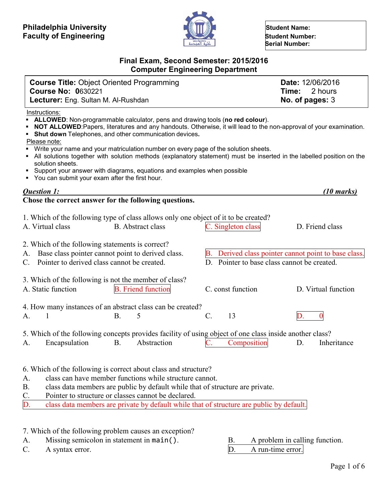

 **Serial Number:**

# **Final Exam, Second Semester: 2015/2016 Computer Engineering Department**

| <b>Course Title: Object Oriented Programming</b><br><b>Course No: 0630221</b>                                                                                                                                                                                                                                                                                                                                                                                                                                                                                                                                                                                          |                                                                   | Date: 12/06/2016<br>2 hours<br>Time:                                    |
|------------------------------------------------------------------------------------------------------------------------------------------------------------------------------------------------------------------------------------------------------------------------------------------------------------------------------------------------------------------------------------------------------------------------------------------------------------------------------------------------------------------------------------------------------------------------------------------------------------------------------------------------------------------------|-------------------------------------------------------------------|-------------------------------------------------------------------------|
| Lecturer: Eng. Sultan M. Al-Rushdan                                                                                                                                                                                                                                                                                                                                                                                                                                                                                                                                                                                                                                    |                                                                   | No. of pages: 3                                                         |
| Instructions:<br>ALLOWED: Non-programmable calculator, pens and drawing tools (no red colour).<br>NOT ALLOWED: Papers, literatures and any handouts. Otherwise, it will lead to the non-approval of your examination.<br>Shut down Telephones, and other communication devices.<br>Please note:<br>Write your name and your matriculation number on every page of the solution sheets.<br>- All solutions together with solution methods (explanatory statement) must be inserted in the labelled position on the<br>solution sheets.<br>• Support your answer with diagrams, equations and examples when possible<br>• You can submit your exam after the first hour. |                                                                   |                                                                         |
| Question 1:                                                                                                                                                                                                                                                                                                                                                                                                                                                                                                                                                                                                                                                            |                                                                   | $(10 \text{ marks})$                                                    |
| Chose the correct answer for the following questions.<br>1. Which of the following type of class allows only one object of it to be created?<br>A. Virtual class<br><b>B.</b> Abstract class<br>2. Which of the following statements is correct?<br>Base class pointer cannot point to derived class.<br>А.<br>Pointer to derived class cannot be created.<br>C.                                                                                                                                                                                                                                                                                                       | C. Singleton class<br>D. Pointer to base class cannot be created. | D. Friend class<br>B. Derived class pointer cannot point to base class. |
| 3. Which of the following is not the member of class?<br>A. Static function<br><b>B.</b> Friend function                                                                                                                                                                                                                                                                                                                                                                                                                                                                                                                                                               | C. const function                                                 | D. Virtual function                                                     |
| 4. How many instances of an abstract class can be created?<br>1<br><b>B.</b><br>5<br>A.                                                                                                                                                                                                                                                                                                                                                                                                                                                                                                                                                                                | $\mathcal{C}$ .<br>13                                             |                                                                         |
| 5. Which of the following concepts provides facility of using object of one class inside another class?<br>Abstraction<br>Encapsulation<br><b>B.</b><br>A.                                                                                                                                                                                                                                                                                                                                                                                                                                                                                                             | Composition                                                       | Inheritance<br>D.                                                       |
| 6. Which of the following is correct about class and structure?<br>class can have member functions while structure cannot.<br>A.<br>class data members are public by default while that of structure are private.<br>Β.<br>Pointer to structure or classes cannot be declared.<br>C.<br>class data members are private by default while that of structure are public by default.<br>D.                                                                                                                                                                                                                                                                                 |                                                                   |                                                                         |

7. Which of the following problem causes an exception?

- A. Missing semicolon in statement in main(). B. A problem in calling function.<br>C. A syntax error. D. A run-time error.
	-
- C. A syntax error. D. A run-time error.
-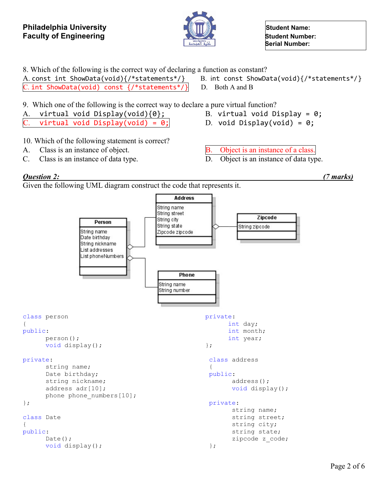

A. const int ShowData(void){/\*statements\*/} B. int const ShowData(void){/\*statements\*/}

8. Which of the following is the correct way of declaring a function as constant?

C. int ShowData(void) const  $\{/*$ statements\*/ $\}$  D. Both A and B

 **Serial Number:**



string city; string state; zipcode z\_code;

};

class Date { public: Date(); void display();

Page 2 of 6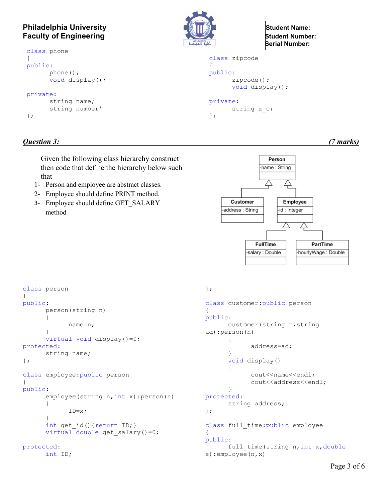### **Philadelphia University Construction of the Student Name: Student Name: Faculty of Engineering**<br> **Faculty of Engineering**

```
class phone
{
public:
      phone();
      void display();
private:
      string name;
      string number'
};
```


 **Serial Number:**

```
class zipcode
{
public:
      zipcode();
      void display();
private:
```

```
string z c;
};
```
### *Question 3: (7 marks)*

Given the following class hierarchy construct then code that define the hierarchy below such that

- 1- Person and employee are abstract classes.
- 2- Employee should define PRINT method.
- 3- Employee should define GET\_SALARY method



```
class person
{
public:
      person(string n)
      {
            name=n;
      }
      virtual void display()=0;
protected:
      string name;
};
class employee:public person
{
public:
      employee(string n, int x): person(n)
      {
            ID=x;
      }
      int get_id(){return ID;}
      virtual double get salary()=0;
protected:
      int ID;
```

```
};
```

```
class customer:public person
{
public:
      customer(string n,string 
ad):person(n)
      {
             address=ad;
      }
      void display()
      {
             cout<<name<<endl;
             cout<<address<<endl;
      }
protected:
      string address;
};
class full time: public employee
{
public:
      full time(string n, int x, double
s):employee(n,x)
```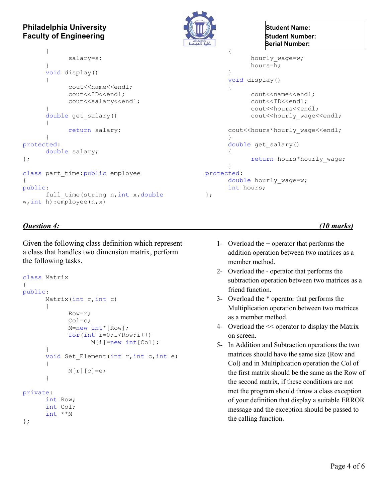### **Philadelphia University Construction Construction Construction Construction Construction Construction Construction Construction Construction Construction Construction Construction Construction Construction Construction Faculty of Engineering**<br> **Example 20 All Student Number:**

```
{
             salary=s;
      }
      void display()
      {
             cout<<name<<endl;
             cout<<ID<<endl;
             cout<<salary<<endl;
      }
      double get_salary()
      {
             return salary;
      }
protected:
      double salary;
};
class part time: public employee
{
public:
      full_time(string n, int x, double
w,int h):employee(n,x)
                                                    };
```

```
 Serial Number:
```

```
{
             hourly wage=w;
            hours=h;
      }
      void display()
      {
            cout<<name<<endl;
             cout<<ID<<endl;
            cout<<hours<<endl;
            cout<<hourly_wage<<endl;
      cout<<hours*hourly_wage<<endl;
      }
      double get_salary()
      {
             return hours*hourly wage;
      }
protected:
      double hourly wage=w;
      int hours;
```
#### *Question 4: (10 marks)*

Given the following class definition which represent a class that handles two dimension matrix, perform the following tasks.

```
class Matrix
{
public:
      Matrix(int r, int c)
      {
             Row=r;
             Col=c;
             M=new int*[Row];
             for(int i=0; i<Row; i++)
                  M[i]=new int[Col];
      }
      void Set Element(int r, int c, int e)
      {
            M[r][c]=e;}
private:
      int Row;
      int Col;
      int **M
};
```
- 1- Overload the + operator that performs the addition operation between two matrices as a member method.
- 2- Overload the operator that performs the subtraction operation between two matrices as a friend function.
- 3- Overload the \* operator that performs the Multiplication operation between two matrices as a member method.
- 4- Overload the << operator to display the Matrix on screen.
- 5- In Addition and Subtraction operations the two matrices should have the same size (Row and Col) and in Multiplication operation the Col of the first matrix should be the same as the Row of the second matrix, if these conditions are not met the program should throw a class exception of your definition that display a suitable ERROR message and the exception should be passed to the calling function.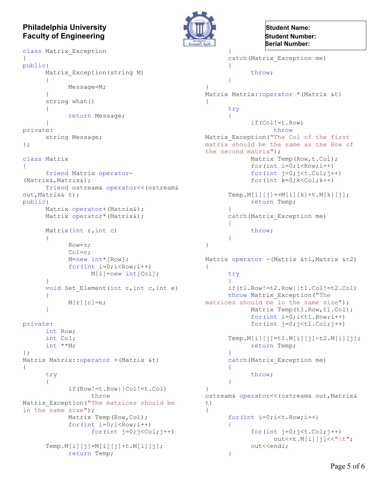# **Philadelphia University Construction of the Student Name: Student Name:**

```
Faculty of Engineering<br>
Faculty of Engineering
class Matrix_Exception
{
public:
      Matrix Exception(string M)
      {
            Message=M;
      }
      string what()
      {
            return Message;
      }
private:
      string Message;
};
class Matrix
{
      friend Matrix operator-
(Matrix&,Matrix&);
      friend ostream& operator<<(ostream& 
out,Matrix& t);
public:
      Matrix operator+ (Matrix&) ;
      Matrix operator* (Matrix&);
      Matrix(int r, int c)
      {
            Row=r;
            Col=c;
            M=new int*[Row];
            for(int i=0; i<Row; i++)
                  M[i] = new int[Coll];}
      void Set Element(int r, int c, int e)
      {
            M[r][c]=e;}
private:
      int Row;
      int Col;
      int **M;
};
Matrix Matrix::operator +(Matrix &t)
{
      try
      {
            if(Row!=t.Row||Col!=t.Col)
                  throw
Matrix Exception ("The matrices should be
in the same size");
            Matrix Temp(Row, Col);
            for(int i=0; i<Row; i++)
                  for(int j=0;j <Col;j++)
```

```
Temp.M[i][j]=M[i][j]+t.M[i][j];
     return Temp;
```


}

 **Serial Number:**

```
catch(Matrix_Exception me)
      {
             throw;
      }
}
Matrix Matrix::operator *(Matrix &t)
{
      try
      {
             if(Col!=t.Row)
                   throw
Matrix_Exception("The Col of the first 
matrix should be the same as the Row of 
the second matrix");
            Matrix Temp(Row, t.Col);
            for(int i=0; i < Row; i++)for(int j=0;j\lt t.Col;j++)
             for(int k=0; k <Col;k++)
      Temp.M[i][j]+=M[i][k]+t.M[k][j];return Temp;
      }
      catch(Matrix_Exception me)
      {
             throw;
      }
}
Matrix operator - (Matrix &t1, Matrix &t2)
{
      try
      {
      if(t1.Row!=t2.Row||t1.Col!=t2.Col)
      throw Matrix_Exception("The 
matrices should be in the same size");
            Matrix Temp(t1.Row,t1.Col);
             for(int i=0; i<t1. Row; i+)
             for(int j=0;j<t1.Col;j++)
      Temp.M[i][j]=t1.M[i][j]-t2.M[i][j];
             return Temp;
      }
      catch(Matrix_Exception me)
      {
             throw;
      }
}
ostream& operator<<(ostream& out,Matrix& 
t)
{
      for(int i=0; i< t. Row; i++)
      {
             for(int j=0;j\lt t.Col;j++)out<<t.M[i][j]<<"\t";
             out<<endl;
      }
```